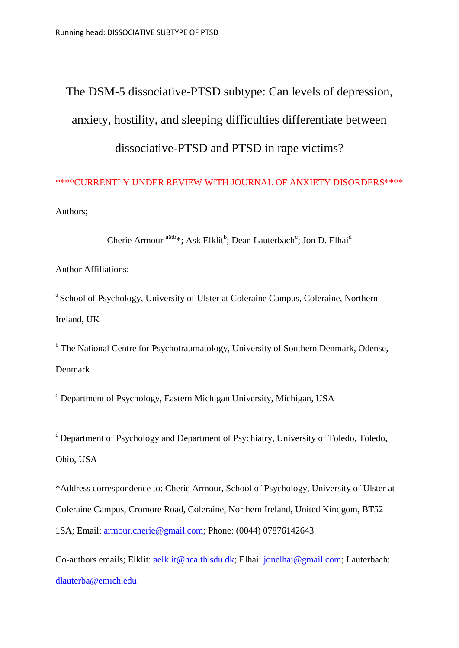# The DSM-5 dissociative-PTSD subtype: Can levels of depression, anxiety, hostility, and sleeping difficulties differentiate between dissociative-PTSD and PTSD in rape victims?

\*\*\*\*CURRENTLY UNDER REVIEW WITH JOURNAL OF ANXIETY DISORDERS\*\*\*\*

Authors;

Cherie Armour <sup>a&b\*</sup>; Ask Elklit<sup>b</sup>; Dean Lauterbach<sup>c</sup>; Jon D. Elhai<sup>d</sup>

Author Affiliations;

<sup>a</sup> School of Psychology, University of Ulster at Coleraine Campus, Coleraine, Northern Ireland, UK

<sup>b</sup> The National Centre for Psychotraumatology, University of Southern Denmark, Odense, Denmark

<sup>c</sup> Department of Psychology, Eastern Michigan University, Michigan, USA

<sup>d</sup> Department of Psychology and Department of Psychiatry, University of Toledo, Toledo, Ohio, USA

\*Address correspondence to: Cherie Armour, School of Psychology, University of Ulster at Coleraine Campus, Cromore Road, Coleraine, Northern Ireland, United Kindgom, BT52 1SA; Email: [armour.cherie@gmail.com;](mailto:armour.cherie@gmail.com) Phone: (0044) 07876142643

Co-authors emails; Elklit: [aelklit@health.sdu.dk;](mailto:aelklit@health.sdu.dk) Elhai: [jonelhai@gmail.com;](mailto:jonelhai@gmail.com) Lauterbach: [dlauterba@emich.edu](mailto:dlauterba@emich.edu)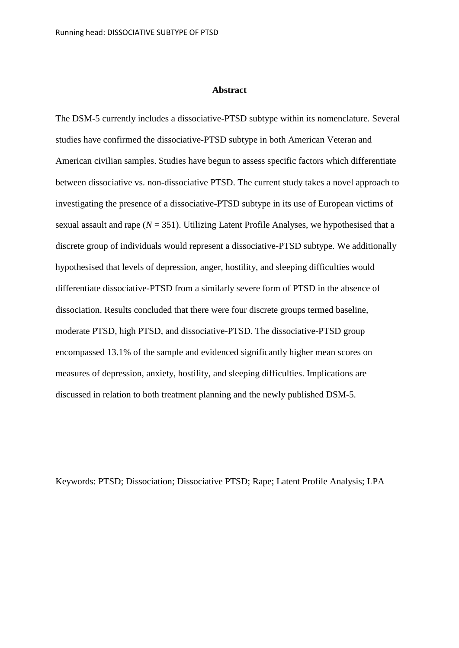#### **Abstract**

The DSM-5 currently includes a dissociative-PTSD subtype within its nomenclature. Several studies have confirmed the dissociative-PTSD subtype in both American Veteran and American civilian samples. Studies have begun to assess specific factors which differentiate between dissociative vs. non-dissociative PTSD. The current study takes a novel approach to investigating the presence of a dissociative-PTSD subtype in its use of European victims of sexual assault and rape  $(N = 351)$ . Utilizing Latent Profile Analyses, we hypothesised that a discrete group of individuals would represent a dissociative-PTSD subtype. We additionally hypothesised that levels of depression, anger, hostility, and sleeping difficulties would differentiate dissociative-PTSD from a similarly severe form of PTSD in the absence of dissociation. Results concluded that there were four discrete groups termed baseline, moderate PTSD, high PTSD, and dissociative-PTSD. The dissociative-PTSD group encompassed 13.1% of the sample and evidenced significantly higher mean scores on measures of depression, anxiety, hostility, and sleeping difficulties. Implications are discussed in relation to both treatment planning and the newly published DSM-5.

Keywords: PTSD; Dissociation; Dissociative PTSD; Rape; Latent Profile Analysis; LPA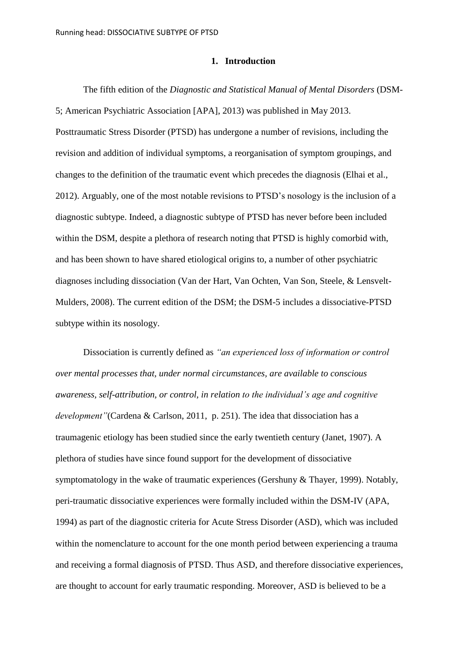#### **1. Introduction**

The fifth edition of the *Diagnostic and Statistical Manual of Mental Disorders* (DSM-5; American Psychiatric Association [APA], 2013) was published in May 2013. Posttraumatic Stress Disorder (PTSD) has undergone a number of revisions, including the revision and addition of individual symptoms, a reorganisation of symptom groupings, and changes to the definition of the traumatic event which precedes the diagnosis (Elhai et al., 2012). Arguably, one of the most notable revisions to PTSD's nosology is the inclusion of a diagnostic subtype. Indeed, a diagnostic subtype of PTSD has never before been included within the DSM, despite a plethora of research noting that PTSD is highly comorbid with, and has been shown to have shared etiological origins to, a number of other psychiatric diagnoses including dissociation (Van der Hart, Van Ochten, Van Son, Steele, & Lensvelt-Mulders, 2008). The current edition of the DSM; the DSM-5 includes a dissociative-PTSD subtype within its nosology.

Dissociation is currently defined as *"an experienced loss of information or control over mental processes that, under normal circumstances, are available to conscious awareness, self-attribution, or control, in relation to the individual's age and cognitive development"*(Cardena & Carlson, 2011, p. 251). The idea that dissociation has a traumagenic etiology has been studied since the early twentieth century (Janet, 1907). A plethora of studies have since found support for the development of dissociative symptomatology in the wake of traumatic experiences (Gershuny & Thayer, 1999). Notably, peri-traumatic dissociative experiences were formally included within the DSM-IV (APA, 1994) as part of the diagnostic criteria for Acute Stress Disorder (ASD), which was included within the nomenclature to account for the one month period between experiencing a trauma and receiving a formal diagnosis of PTSD. Thus ASD, and therefore dissociative experiences, are thought to account for early traumatic responding. Moreover, ASD is believed to be a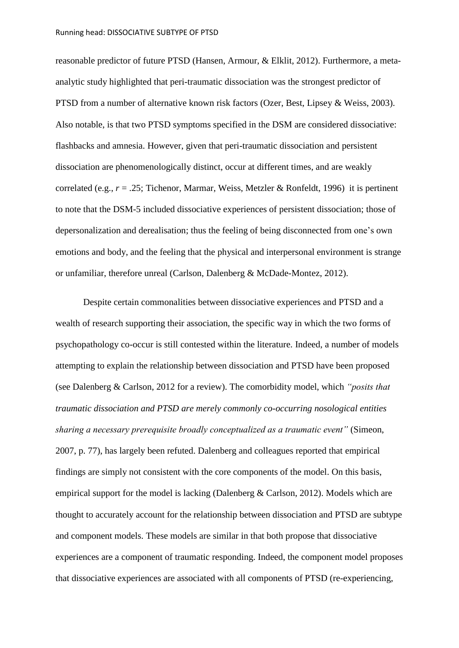reasonable predictor of future PTSD (Hansen, Armour, & Elklit, 2012). Furthermore, a metaanalytic study highlighted that peri-traumatic dissociation was the strongest predictor of PTSD from a number of alternative known risk factors (Ozer, Best, Lipsey & Weiss, 2003). Also notable, is that two PTSD symptoms specified in the DSM are considered dissociative: flashbacks and amnesia. However, given that peri-traumatic dissociation and persistent dissociation are phenomenologically distinct, occur at different times, and are weakly correlated (e.g., *r* = .25; Tichenor, Marmar, Weiss, Metzler & Ronfeldt, 1996) it is pertinent to note that the DSM-5 included dissociative experiences of persistent dissociation; those of depersonalization and derealisation; thus the feeling of being disconnected from one's own emotions and body, and the feeling that the physical and interpersonal environment is strange or unfamiliar, therefore unreal (Carlson, Dalenberg & McDade-Montez, 2012).

Despite certain commonalities between dissociative experiences and PTSD and a wealth of research supporting their association, the specific way in which the two forms of psychopathology co-occur is still contested within the literature. Indeed, a number of models attempting to explain the relationship between dissociation and PTSD have been proposed (see Dalenberg & Carlson, 2012 for a review). The comorbidity model, which *"posits that traumatic dissociation and PTSD are merely commonly co-occurring nosological entities sharing a necessary prerequisite broadly conceptualized as a traumatic event"* (Simeon, 2007, p. 77), has largely been refuted. Dalenberg and colleagues reported that empirical findings are simply not consistent with the core components of the model. On this basis, empirical support for the model is lacking (Dalenberg & Carlson, 2012). Models which are thought to accurately account for the relationship between dissociation and PTSD are subtype and component models. These models are similar in that both propose that dissociative experiences are a component of traumatic responding. Indeed, the component model proposes that dissociative experiences are associated with all components of PTSD (re-experiencing,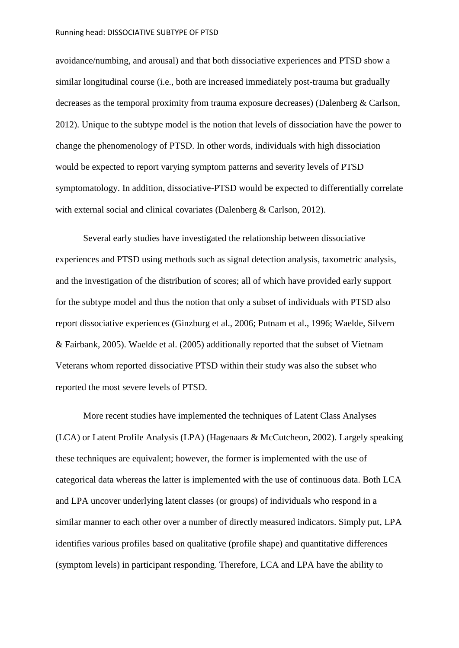avoidance/numbing, and arousal) and that both dissociative experiences and PTSD show a similar longitudinal course (i.e., both are increased immediately post-trauma but gradually decreases as the temporal proximity from trauma exposure decreases) (Dalenberg & Carlson, 2012). Unique to the subtype model is the notion that levels of dissociation have the power to change the phenomenology of PTSD. In other words, individuals with high dissociation would be expected to report varying symptom patterns and severity levels of PTSD symptomatology. In addition, dissociative-PTSD would be expected to differentially correlate with external social and clinical covariates (Dalenberg & Carlson, 2012).

Several early studies have investigated the relationship between dissociative experiences and PTSD using methods such as signal detection analysis, taxometric analysis, and the investigation of the distribution of scores; all of which have provided early support for the subtype model and thus the notion that only a subset of individuals with PTSD also report dissociative experiences (Ginzburg et al., 2006; Putnam et al., 1996; Waelde, Silvern & Fairbank, 2005). Waelde et al. (2005) additionally reported that the subset of Vietnam Veterans whom reported dissociative PTSD within their study was also the subset who reported the most severe levels of PTSD.

More recent studies have implemented the techniques of Latent Class Analyses (LCA) or Latent Profile Analysis (LPA) (Hagenaars & McCutcheon, 2002). Largely speaking these techniques are equivalent; however, the former is implemented with the use of categorical data whereas the latter is implemented with the use of continuous data. Both LCA and LPA uncover underlying latent classes (or groups) of individuals who respond in a similar manner to each other over a number of directly measured indicators. Simply put, LPA identifies various profiles based on qualitative (profile shape) and quantitative differences (symptom levels) in participant responding. Therefore, LCA and LPA have the ability to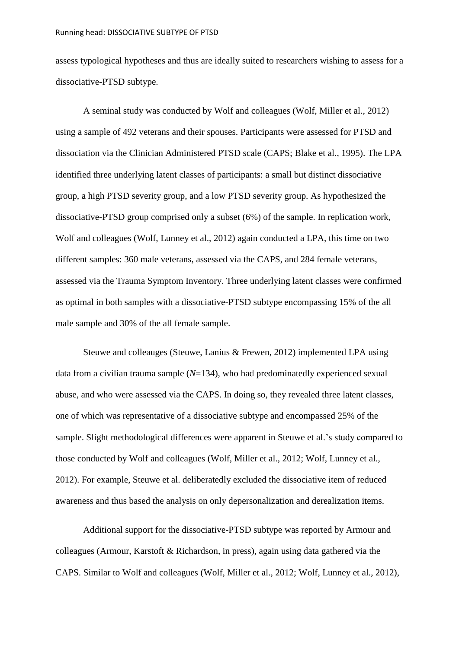assess typological hypotheses and thus are ideally suited to researchers wishing to assess for a dissociative-PTSD subtype.

A seminal study was conducted by Wolf and colleagues (Wolf, Miller et al., 2012) using a sample of 492 veterans and their spouses. Participants were assessed for PTSD and dissociation via the Clinician Administered PTSD scale (CAPS; Blake et al., 1995). The LPA identified three underlying latent classes of participants: a small but distinct dissociative group, a high PTSD severity group, and a low PTSD severity group. As hypothesized the dissociative-PTSD group comprised only a subset (6%) of the sample. In replication work, Wolf and colleagues (Wolf, Lunney et al., 2012) again conducted a LPA, this time on two different samples: 360 male veterans, assessed via the CAPS, and 284 female veterans, assessed via the Trauma Symptom Inventory. Three underlying latent classes were confirmed as optimal in both samples with a dissociative-PTSD subtype encompassing 15% of the all male sample and 30% of the all female sample.

Steuwe and colleauges (Steuwe, Lanius & Frewen, 2012) implemented LPA using data from a civilian trauma sample (*N*=134), who had predominatedly experienced sexual abuse, and who were assessed via the CAPS. In doing so, they revealed three latent classes, one of which was representative of a dissociative subtype and encompassed 25% of the sample. Slight methodological differences were apparent in Steuwe et al.'s study compared to those conducted by Wolf and colleagues (Wolf, Miller et al., 2012; Wolf, Lunney et al., 2012). For example, Steuwe et al. deliberatedly excluded the dissociative item of reduced awareness and thus based the analysis on only depersonalization and derealization items.

Additional support for the dissociative-PTSD subtype was reported by Armour and colleagues (Armour, Karstoft & Richardson, in press), again using data gathered via the CAPS. Similar to Wolf and colleagues (Wolf, Miller et al., 2012; Wolf, Lunney et al., 2012),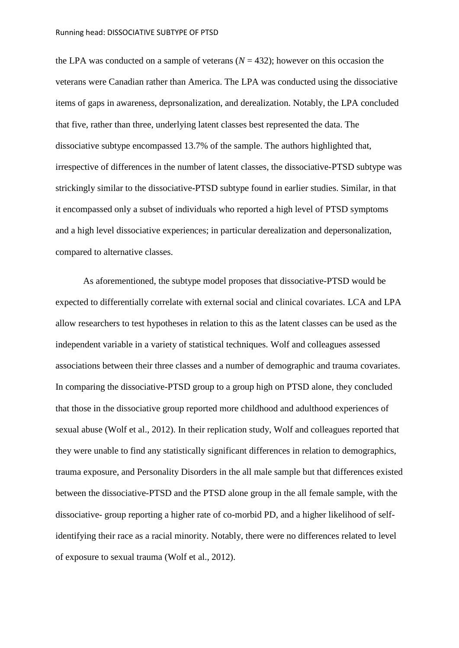the LPA was conducted on a sample of veterans  $(N = 432)$ ; however on this occasion the veterans were Canadian rather than America. The LPA was conducted using the dissociative items of gaps in awareness, deprsonalization, and derealization. Notably, the LPA concluded that five, rather than three, underlying latent classes best represented the data. The dissociative subtype encompassed 13.7% of the sample. The authors highlighted that, irrespective of differences in the number of latent classes, the dissociative-PTSD subtype was strickingly similar to the dissociative-PTSD subtype found in earlier studies. Similar, in that it encompassed only a subset of individuals who reported a high level of PTSD symptoms and a high level dissociative experiences; in particular derealization and depersonalization, compared to alternative classes.

As aforementioned, the subtype model proposes that dissociative-PTSD would be expected to differentially correlate with external social and clinical covariates. LCA and LPA allow researchers to test hypotheses in relation to this as the latent classes can be used as the independent variable in a variety of statistical techniques. Wolf and colleagues assessed associations between their three classes and a number of demographic and trauma covariates. In comparing the dissociative-PTSD group to a group high on PTSD alone, they concluded that those in the dissociative group reported more childhood and adulthood experiences of sexual abuse (Wolf et al., 2012). In their replication study, Wolf and colleagues reported that they were unable to find any statistically significant differences in relation to demographics, trauma exposure, and Personality Disorders in the all male sample but that differences existed between the dissociative-PTSD and the PTSD alone group in the all female sample, with the dissociative- group reporting a higher rate of co-morbid PD, and a higher likelihood of selfidentifying their race as a racial minority. Notably, there were no differences related to level of exposure to sexual trauma (Wolf et al., 2012).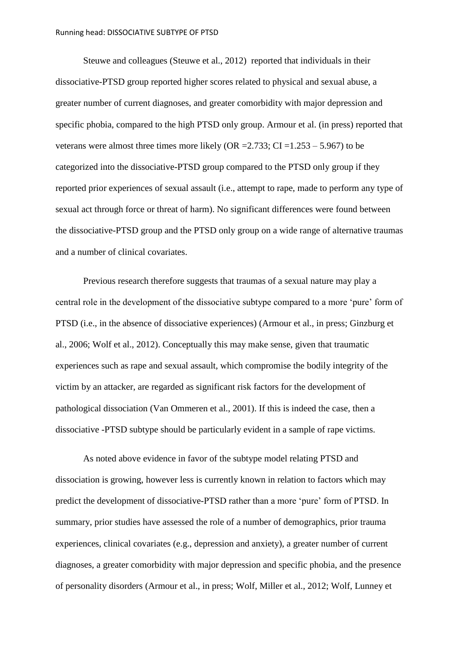Steuwe and colleagues (Steuwe et al., 2012) reported that individuals in their dissociative-PTSD group reported higher scores related to physical and sexual abuse, a greater number of current diagnoses, and greater comorbidity with major depression and specific phobia, compared to the high PTSD only group. Armour et al. (in press) reported that veterans were almost three times more likely (OR =  $2.733$ ; CI =  $1.253 - 5.967$ ) to be categorized into the dissociative-PTSD group compared to the PTSD only group if they reported prior experiences of sexual assault (i.e., attempt to rape, made to perform any type of sexual act through force or threat of harm). No significant differences were found between the dissociative-PTSD group and the PTSD only group on a wide range of alternative traumas and a number of clinical covariates.

Previous research therefore suggests that traumas of a sexual nature may play a central role in the development of the dissociative subtype compared to a more 'pure' form of PTSD (i.e., in the absence of dissociative experiences) (Armour et al., in press; Ginzburg et al., 2006; Wolf et al., 2012). Conceptually this may make sense, given that traumatic experiences such as rape and sexual assault, which compromise the bodily integrity of the victim by an attacker, are regarded as significant risk factors for the development of pathological dissociation (Van Ommeren et al., 2001). If this is indeed the case, then a dissociative -PTSD subtype should be particularly evident in a sample of rape victims.

As noted above evidence in favor of the subtype model relating PTSD and dissociation is growing, however less is currently known in relation to factors which may predict the development of dissociative-PTSD rather than a more 'pure' form of PTSD. In summary, prior studies have assessed the role of a number of demographics, prior trauma experiences, clinical covariates (e.g., depression and anxiety), a greater number of current diagnoses, a greater comorbidity with major depression and specific phobia, and the presence of personality disorders (Armour et al., in press; Wolf, Miller et al., 2012; Wolf, Lunney et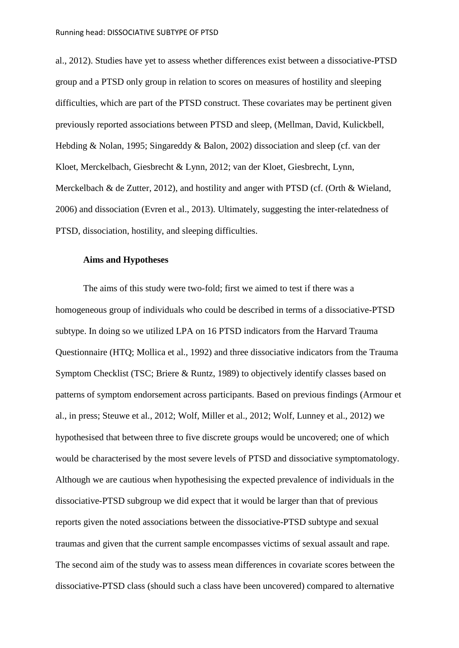al., 2012). Studies have yet to assess whether differences exist between a dissociative-PTSD group and a PTSD only group in relation to scores on measures of hostility and sleeping difficulties, which are part of the PTSD construct. These covariates may be pertinent given previously reported associations between PTSD and sleep, (Mellman, David, Kulickbell, Hebding & Nolan, 1995; Singareddy & Balon, 2002) dissociation and sleep (cf. van der Kloet, Merckelbach, Giesbrecht & Lynn, 2012; van der Kloet, Giesbrecht, Lynn, Merckelbach & de Zutter, 2012), and hostility and anger with PTSD (cf. (Orth & Wieland, 2006) and dissociation (Evren et al., 2013). Ultimately, suggesting the inter-relatedness of PTSD, dissociation, hostility, and sleeping difficulties.

#### **Aims and Hypotheses**

The aims of this study were two-fold; first we aimed to test if there was a homogeneous group of individuals who could be described in terms of a dissociative-PTSD subtype. In doing so we utilized LPA on 16 PTSD indicators from the Harvard Trauma Questionnaire (HTQ; Mollica et al., 1992) and three dissociative indicators from the Trauma Symptom Checklist (TSC; Briere & Runtz, 1989) to objectively identify classes based on patterns of symptom endorsement across participants. Based on previous findings (Armour et al., in press; Steuwe et al., 2012; Wolf, Miller et al., 2012; Wolf, Lunney et al., 2012) we hypothesised that between three to five discrete groups would be uncovered; one of which would be characterised by the most severe levels of PTSD and dissociative symptomatology. Although we are cautious when hypothesising the expected prevalence of individuals in the dissociative-PTSD subgroup we did expect that it would be larger than that of previous reports given the noted associations between the dissociative-PTSD subtype and sexual traumas and given that the current sample encompasses victims of sexual assault and rape. The second aim of the study was to assess mean differences in covariate scores between the dissociative-PTSD class (should such a class have been uncovered) compared to alternative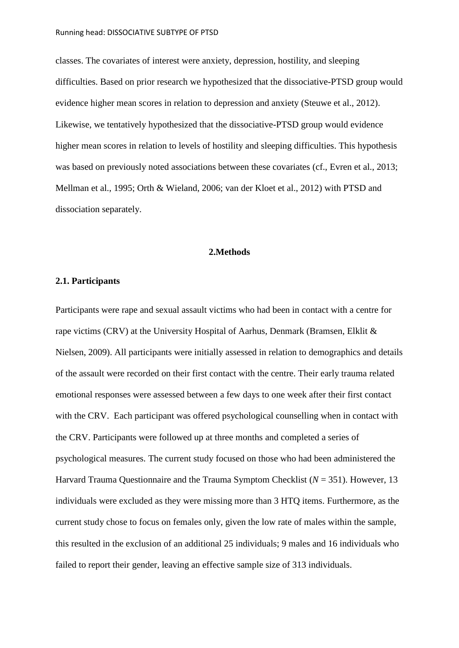classes. The covariates of interest were anxiety, depression, hostility, and sleeping difficulties. Based on prior research we hypothesized that the dissociative-PTSD group would evidence higher mean scores in relation to depression and anxiety (Steuwe et al., 2012). Likewise, we tentatively hypothesized that the dissociative-PTSD group would evidence higher mean scores in relation to levels of hostility and sleeping difficulties. This hypothesis was based on previously noted associations between these covariates (cf., Evren et al., 2013; Mellman et al., 1995; Orth & Wieland, 2006; van der Kloet et al., 2012) with PTSD and dissociation separately.

#### **2.Methods**

#### **2.1. Participants**

Participants were rape and sexual assault victims who had been in contact with a centre for rape victims (CRV) at the University Hospital of Aarhus, Denmark (Bramsen, Elklit & Nielsen, 2009). All participants were initially assessed in relation to demographics and details of the assault were recorded on their first contact with the centre. Their early trauma related emotional responses were assessed between a few days to one week after their first contact with the CRV. Each participant was offered psychological counselling when in contact with the CRV. Participants were followed up at three months and completed a series of psychological measures. The current study focused on those who had been administered the Harvard Trauma Questionnaire and the Trauma Symptom Checklist (*N* = 351). However, 13 individuals were excluded as they were missing more than 3 HTQ items. Furthermore, as the current study chose to focus on females only, given the low rate of males within the sample, this resulted in the exclusion of an additional 25 individuals; 9 males and 16 individuals who failed to report their gender, leaving an effective sample size of 313 individuals.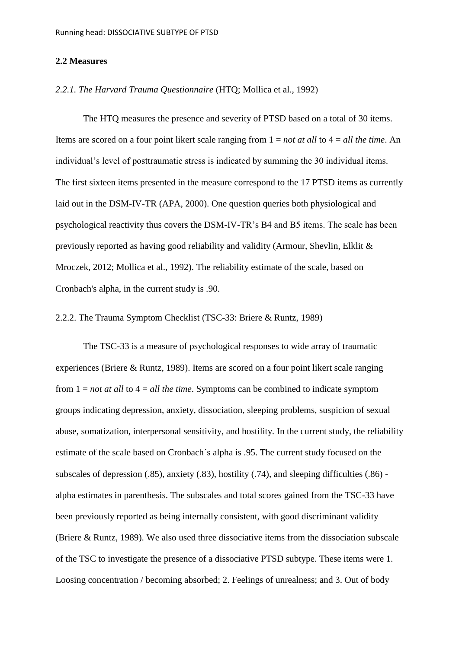#### **2.2 Measures**

#### *2.2.1. The Harvard Trauma Questionnaire* (HTQ; Mollica et al., 1992)

The HTQ measures the presence and severity of PTSD based on a total of 30 items. Items are scored on a four point likert scale ranging from 1 = *not at all* to 4 = *all the time*. An individual's level of posttraumatic stress is indicated by summing the 30 individual items. The first sixteen items presented in the measure correspond to the 17 PTSD items as currently laid out in the DSM-IV-TR (APA, 2000). One question queries both physiological and psychological reactivity thus covers the DSM-IV-TR's B4 and B5 items. The scale has been previously reported as having good reliability and validity (Armour, Shevlin, Elklit & Mroczek, 2012; Mollica et al., 1992). The reliability estimate of the scale, based on Cronbach's alpha, in the current study is .90.

#### 2.2.2. The Trauma Symptom Checklist (TSC-33: Briere & Runtz, 1989)

The TSC-33 is a measure of psychological responses to wide array of traumatic experiences (Briere & Runtz, 1989). Items are scored on a four point likert scale ranging from 1 = *not at all* to 4 = *all the time*. Symptoms can be combined to indicate symptom groups indicating depression, anxiety, dissociation, sleeping problems, suspicion of sexual abuse, somatization, interpersonal sensitivity, and hostility. In the current study, the reliability estimate of the scale based on Cronbach´s alpha is .95. The current study focused on the subscales of depression (.85), anxiety (.83), hostility (.74), and sleeping difficulties (.86) alpha estimates in parenthesis. The subscales and total scores gained from the TSC-33 have been previously reported as being internally consistent, with good discriminant validity (Briere & Runtz, 1989). We also used three dissociative items from the dissociation subscale of the TSC to investigate the presence of a dissociative PTSD subtype. These items were 1. Loosing concentration / becoming absorbed; 2. Feelings of unrealness; and 3. Out of body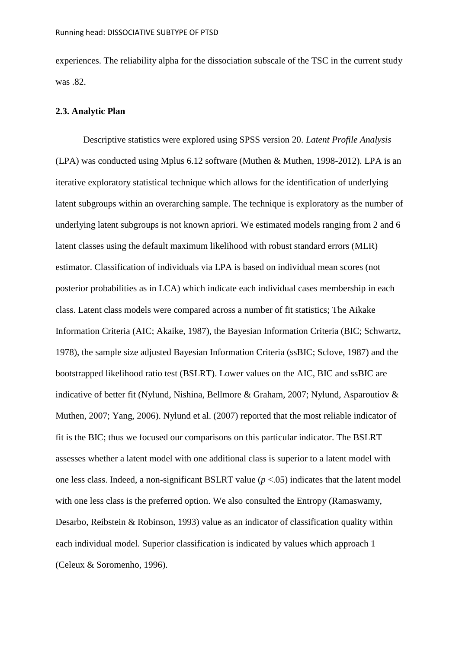experiences. The reliability alpha for the dissociation subscale of the TSC in the current study was .82.

#### **2.3. Analytic Plan**

Descriptive statistics were explored using SPSS version 20. *Latent Profile Analysis* (LPA) was conducted using Mplus 6.12 software (Muthen & Muthen, 1998-2012). LPA is an iterative exploratory statistical technique which allows for the identification of underlying latent subgroups within an overarching sample. The technique is exploratory as the number of underlying latent subgroups is not known apriori. We estimated models ranging from 2 and 6 latent classes using the default maximum likelihood with robust standard errors (MLR) estimator. Classification of individuals via LPA is based on individual mean scores (not posterior probabilities as in LCA) which indicate each individual cases membership in each class. Latent class models were compared across a number of fit statistics; The Aikake Information Criteria (AIC; Akaike, 1987), the Bayesian Information Criteria (BIC; Schwartz, 1978), the sample size adjusted Bayesian Information Criteria (ssBIC; Sclove, 1987) and the bootstrapped likelihood ratio test (BSLRT). Lower values on the AIC, BIC and ssBIC are indicative of better fit (Nylund, Nishina, Bellmore & Graham, 2007; Nylund, Asparoutiov & Muthen, 2007; Yang, 2006). Nylund et al. (2007) reported that the most reliable indicator of fit is the BIC; thus we focused our comparisons on this particular indicator. The BSLRT assesses whether a latent model with one additional class is superior to a latent model with one less class. Indeed, a non-significant BSLRT value  $(p < .05)$  indicates that the latent model with one less class is the preferred option. We also consulted the Entropy (Ramaswamy, Desarbo, Reibstein & Robinson, 1993) value as an indicator of classification quality within each individual model. Superior classification is indicated by values which approach 1 (Celeux & Soromenho, 1996).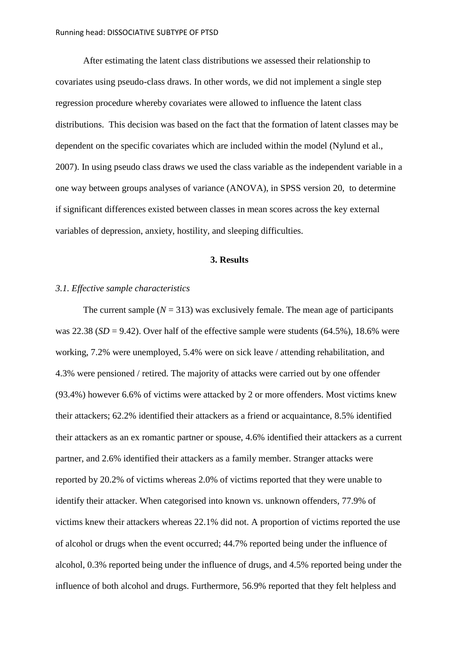After estimating the latent class distributions we assessed their relationship to covariates using pseudo-class draws. In other words, we did not implement a single step regression procedure whereby covariates were allowed to influence the latent class distributions. This decision was based on the fact that the formation of latent classes may be dependent on the specific covariates which are included within the model (Nylund et al., 2007). In using pseudo class draws we used the class variable as the independent variable in a one way between groups analyses of variance (ANOVA), in SPSS version 20, to determine if significant differences existed between classes in mean scores across the key external variables of depression, anxiety, hostility, and sleeping difficulties.

#### **3. Results**

#### *3.1. Effective sample characteristics*

The current sample  $(N = 313)$  was exclusively female. The mean age of participants was  $22.38$  (*SD* = 9.42). Over half of the effective sample were students (64.5%), 18.6% were working, 7.2% were unemployed, 5.4% were on sick leave / attending rehabilitation, and 4.3% were pensioned / retired. The majority of attacks were carried out by one offender (93.4%) however 6.6% of victims were attacked by 2 or more offenders. Most victims knew their attackers; 62.2% identified their attackers as a friend or acquaintance, 8.5% identified their attackers as an ex romantic partner or spouse, 4.6% identified their attackers as a current partner, and 2.6% identified their attackers as a family member. Stranger attacks were reported by 20.2% of victims whereas 2.0% of victims reported that they were unable to identify their attacker. When categorised into known vs. unknown offenders, 77.9% of victims knew their attackers whereas 22.1% did not. A proportion of victims reported the use of alcohol or drugs when the event occurred; 44.7% reported being under the influence of alcohol, 0.3% reported being under the influence of drugs, and 4.5% reported being under the influence of both alcohol and drugs. Furthermore, 56.9% reported that they felt helpless and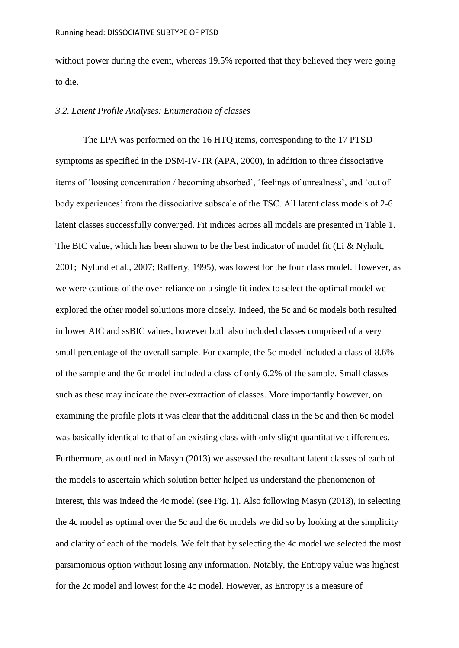without power during the event, whereas 19.5% reported that they believed they were going to die.

#### *3.2. Latent Profile Analyses: Enumeration of classes*

The LPA was performed on the 16 HTQ items, corresponding to the 17 PTSD symptoms as specified in the DSM-IV-TR (APA, 2000), in addition to three dissociative items of 'loosing concentration / becoming absorbed', 'feelings of unrealness', and 'out of body experiences' from the dissociative subscale of the TSC. All latent class models of 2-6 latent classes successfully converged. Fit indices across all models are presented in Table 1. The BIC value, which has been shown to be the best indicator of model fit (Li & Nyholt, 2001; Nylund et al., 2007; Rafferty, 1995), was lowest for the four class model. However, as we were cautious of the over-reliance on a single fit index to select the optimal model we explored the other model solutions more closely. Indeed, the 5c and 6c models both resulted in lower AIC and ssBIC values, however both also included classes comprised of a very small percentage of the overall sample. For example, the 5c model included a class of 8.6% of the sample and the 6c model included a class of only 6.2% of the sample. Small classes such as these may indicate the over-extraction of classes. More importantly however, on examining the profile plots it was clear that the additional class in the 5c and then 6c model was basically identical to that of an existing class with only slight quantitative differences. Furthermore, as outlined in Masyn (2013) we assessed the resultant latent classes of each of the models to ascertain which solution better helped us understand the phenomenon of interest, this was indeed the 4c model (see Fig. 1). Also following Masyn (2013), in selecting the 4c model as optimal over the 5c and the 6c models we did so by looking at the simplicity and clarity of each of the models. We felt that by selecting the 4c model we selected the most parsimonious option without losing any information. Notably, the Entropy value was highest for the 2c model and lowest for the 4c model. However, as Entropy is a measure of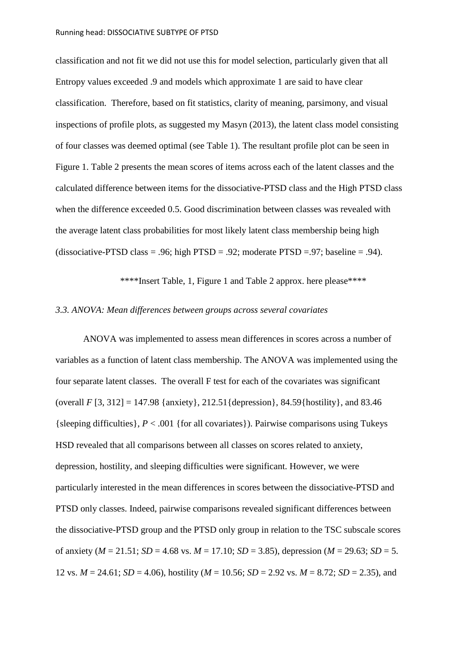classification and not fit we did not use this for model selection, particularly given that all Entropy values exceeded .9 and models which approximate 1 are said to have clear classification. Therefore, based on fit statistics, clarity of meaning, parsimony, and visual inspections of profile plots, as suggested my Masyn (2013), the latent class model consisting of four classes was deemed optimal (see Table 1). The resultant profile plot can be seen in Figure 1. Table 2 presents the mean scores of items across each of the latent classes and the calculated difference between items for the dissociative-PTSD class and the High PTSD class when the difference exceeded 0.5. Good discrimination between classes was revealed with the average latent class probabilities for most likely latent class membership being high (dissociative-PTSD class = .96; high PTSD = .92; moderate PTSD = .97; baseline = .94).

\*\*\*\*Insert Table, 1, Figure 1 and Table 2 approx. here please\*\*\*\*

#### *3.3. ANOVA: Mean differences between groups across several covariates*

ANOVA was implemented to assess mean differences in scores across a number of variables as a function of latent class membership. The ANOVA was implemented using the four separate latent classes. The overall F test for each of the covariates was significant (overall *F* [3, 312] = 147.98 {anxiety}, 212.51{depression}, 84.59{hostility}, and 83.46  $\{\text{sleeping difficulties}\}\$ ,  $P < .001$   $\{\text{for all covariates}\}\$ . Pairwise comparisons using Tukeys HSD revealed that all comparisons between all classes on scores related to anxiety, depression, hostility, and sleeping difficulties were significant. However, we were particularly interested in the mean differences in scores between the dissociative-PTSD and PTSD only classes. Indeed, pairwise comparisons revealed significant differences between the dissociative-PTSD group and the PTSD only group in relation to the TSC subscale scores of anxiety ( $M = 21.51$ ;  $SD = 4.68$  vs.  $M = 17.10$ ;  $SD = 3.85$ ), depression ( $M = 29.63$ ;  $SD = 5$ . 12 vs. *M* = 24.61; *SD* = 4.06), hostility (*M* = 10.56; *SD* = 2.92 vs. *M* = 8.72; *SD* = 2.35), and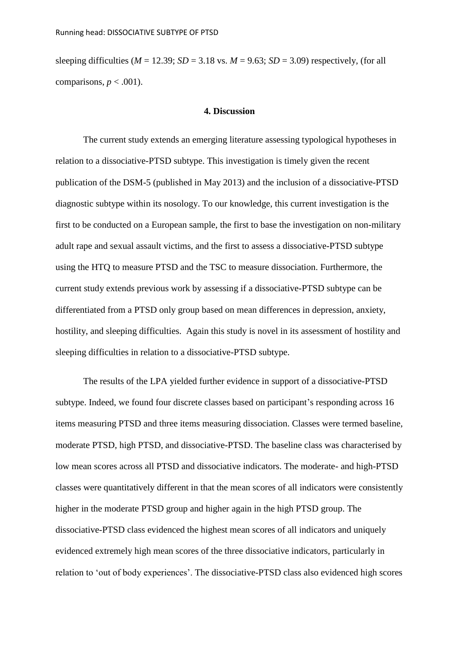sleeping difficulties ( $M = 12.39$ ;  $SD = 3.18$  vs.  $M = 9.63$ ;  $SD = 3.09$ ) respectively, (for all comparisons,  $p < .001$ ).

#### **4. Discussion**

The current study extends an emerging literature assessing typological hypotheses in relation to a dissociative-PTSD subtype. This investigation is timely given the recent publication of the DSM-5 (published in May 2013) and the inclusion of a dissociative-PTSD diagnostic subtype within its nosology. To our knowledge, this current investigation is the first to be conducted on a European sample, the first to base the investigation on non-military adult rape and sexual assault victims, and the first to assess a dissociative-PTSD subtype using the HTQ to measure PTSD and the TSC to measure dissociation. Furthermore, the current study extends previous work by assessing if a dissociative-PTSD subtype can be differentiated from a PTSD only group based on mean differences in depression, anxiety, hostility, and sleeping difficulties. Again this study is novel in its assessment of hostility and sleeping difficulties in relation to a dissociative-PTSD subtype.

The results of the LPA yielded further evidence in support of a dissociative-PTSD subtype. Indeed, we found four discrete classes based on participant's responding across 16 items measuring PTSD and three items measuring dissociation. Classes were termed baseline, moderate PTSD, high PTSD, and dissociative-PTSD. The baseline class was characterised by low mean scores across all PTSD and dissociative indicators. The moderate- and high-PTSD classes were quantitatively different in that the mean scores of all indicators were consistently higher in the moderate PTSD group and higher again in the high PTSD group. The dissociative-PTSD class evidenced the highest mean scores of all indicators and uniquely evidenced extremely high mean scores of the three dissociative indicators, particularly in relation to 'out of body experiences'. The dissociative-PTSD class also evidenced high scores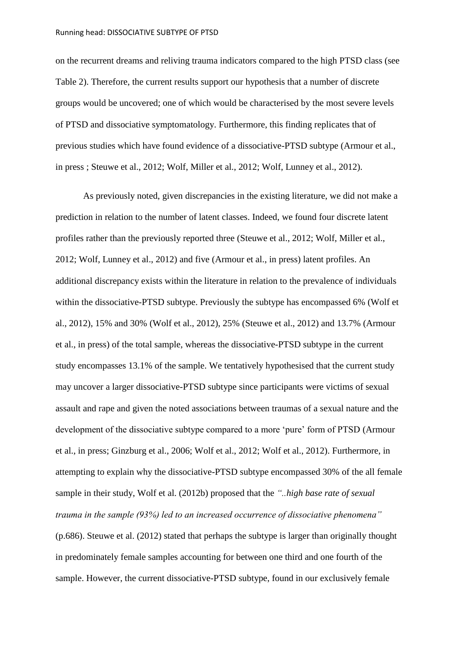on the recurrent dreams and reliving trauma indicators compared to the high PTSD class (see Table 2). Therefore, the current results support our hypothesis that a number of discrete groups would be uncovered; one of which would be characterised by the most severe levels of PTSD and dissociative symptomatology. Furthermore, this finding replicates that of previous studies which have found evidence of a dissociative-PTSD subtype (Armour et al., in press ; Steuwe et al., 2012; Wolf, Miller et al., 2012; Wolf, Lunney et al., 2012).

As previously noted, given discrepancies in the existing literature, we did not make a prediction in relation to the number of latent classes. Indeed, we found four discrete latent profiles rather than the previously reported three (Steuwe et al., 2012; Wolf, Miller et al., 2012; Wolf, Lunney et al., 2012) and five (Armour et al., in press) latent profiles. An additional discrepancy exists within the literature in relation to the prevalence of individuals within the dissociative-PTSD subtype. Previously the subtype has encompassed 6% (Wolf et al., 2012), 15% and 30% (Wolf et al., 2012), 25% (Steuwe et al., 2012) and 13.7% (Armour et al., in press) of the total sample, whereas the dissociative-PTSD subtype in the current study encompasses 13.1% of the sample. We tentatively hypothesised that the current study may uncover a larger dissociative-PTSD subtype since participants were victims of sexual assault and rape and given the noted associations between traumas of a sexual nature and the development of the dissociative subtype compared to a more 'pure' form of PTSD (Armour et al., in press; Ginzburg et al., 2006; Wolf et al., 2012; Wolf et al., 2012). Furthermore, in attempting to explain why the dissociative-PTSD subtype encompassed 30% of the all female sample in their study, Wolf et al. (2012b) proposed that the *"..high base rate of sexual trauma in the sample (93%) led to an increased occurrence of dissociative phenomena"* (p.686). Steuwe et al. (2012) stated that perhaps the subtype is larger than originally thought in predominately female samples accounting for between one third and one fourth of the sample. However, the current dissociative-PTSD subtype, found in our exclusively female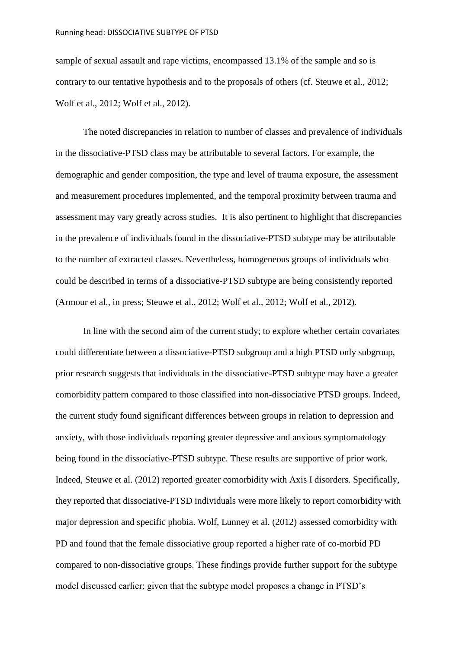sample of sexual assault and rape victims, encompassed 13.1% of the sample and so is contrary to our tentative hypothesis and to the proposals of others (cf. Steuwe et al., 2012; Wolf et al., 2012; Wolf et al., 2012).

The noted discrepancies in relation to number of classes and prevalence of individuals in the dissociative-PTSD class may be attributable to several factors. For example, the demographic and gender composition, the type and level of trauma exposure, the assessment and measurement procedures implemented, and the temporal proximity between trauma and assessment may vary greatly across studies. It is also pertinent to highlight that discrepancies in the prevalence of individuals found in the dissociative-PTSD subtype may be attributable to the number of extracted classes. Nevertheless, homogeneous groups of individuals who could be described in terms of a dissociative-PTSD subtype are being consistently reported (Armour et al., in press; Steuwe et al., 2012; Wolf et al., 2012; Wolf et al., 2012).

In line with the second aim of the current study; to explore whether certain covariates could differentiate between a dissociative-PTSD subgroup and a high PTSD only subgroup, prior research suggests that individuals in the dissociative-PTSD subtype may have a greater comorbidity pattern compared to those classified into non-dissociative PTSD groups. Indeed, the current study found significant differences between groups in relation to depression and anxiety, with those individuals reporting greater depressive and anxious symptomatology being found in the dissociative-PTSD subtype. These results are supportive of prior work. Indeed, Steuwe et al. (2012) reported greater comorbidity with Axis I disorders. Specifically, they reported that dissociative-PTSD individuals were more likely to report comorbidity with major depression and specific phobia. Wolf, Lunney et al. (2012) assessed comorbidity with PD and found that the female dissociative group reported a higher rate of co-morbid PD compared to non-dissociative groups. These findings provide further support for the subtype model discussed earlier; given that the subtype model proposes a change in PTSD's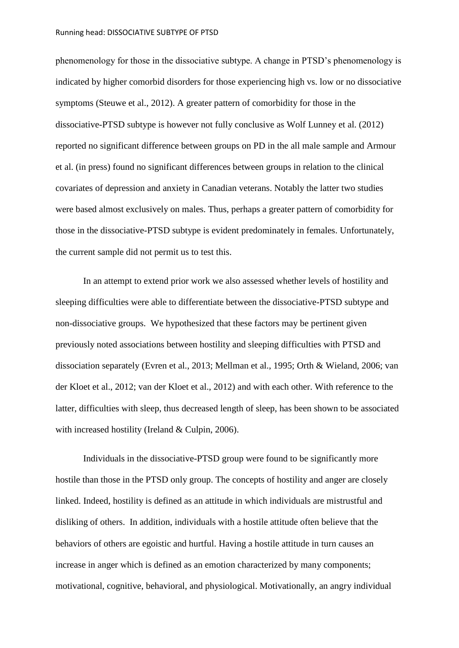phenomenology for those in the dissociative subtype. A change in PTSD's phenomenology is indicated by higher comorbid disorders for those experiencing high vs. low or no dissociative symptoms (Steuwe et al., 2012). A greater pattern of comorbidity for those in the dissociative-PTSD subtype is however not fully conclusive as Wolf Lunney et al. (2012) reported no significant difference between groups on PD in the all male sample and Armour et al. (in press) found no significant differences between groups in relation to the clinical covariates of depression and anxiety in Canadian veterans. Notably the latter two studies were based almost exclusively on males. Thus, perhaps a greater pattern of comorbidity for those in the dissociative-PTSD subtype is evident predominately in females. Unfortunately, the current sample did not permit us to test this.

In an attempt to extend prior work we also assessed whether levels of hostility and sleeping difficulties were able to differentiate between the dissociative-PTSD subtype and non-dissociative groups. We hypothesized that these factors may be pertinent given previously noted associations between hostility and sleeping difficulties with PTSD and dissociation separately (Evren et al., 2013; Mellman et al., 1995; Orth & Wieland, 2006; van der Kloet et al., 2012; van der Kloet et al., 2012) and with each other. With reference to the latter, difficulties with sleep, thus decreased length of sleep, has been shown to be associated with increased hostility (Ireland & Culpin, 2006).

Individuals in the dissociative-PTSD group were found to be significantly more hostile than those in the PTSD only group. The concepts of hostility and anger are closely linked. Indeed, hostility is defined as an attitude in which individuals are mistrustful and disliking of others. In addition, individuals with a hostile attitude often believe that the behaviors of others are egoistic and hurtful. Having a hostile attitude in turn causes an increase in anger which is defined as an emotion characterized by many components; motivational, cognitive, behavioral, and physiological. Motivationally, an angry individual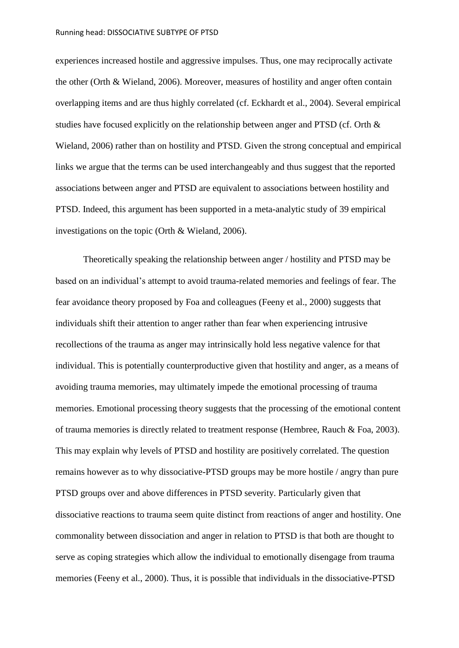experiences increased hostile and aggressive impulses. Thus, one may reciprocally activate the other (Orth & Wieland, 2006). Moreover, measures of hostility and anger often contain overlapping items and are thus highly correlated (cf. Eckhardt et al., 2004). Several empirical studies have focused explicitly on the relationship between anger and PTSD (cf. Orth & Wieland, 2006) rather than on hostility and PTSD. Given the strong conceptual and empirical links we argue that the terms can be used interchangeably and thus suggest that the reported associations between anger and PTSD are equivalent to associations between hostility and PTSD. Indeed, this argument has been supported in a meta-analytic study of 39 empirical investigations on the topic (Orth & Wieland, 2006).

Theoretically speaking the relationship between anger / hostility and PTSD may be based on an individual's attempt to avoid trauma-related memories and feelings of fear. The fear avoidance theory proposed by Foa and colleagues (Feeny et al., 2000) suggests that individuals shift their attention to anger rather than fear when experiencing intrusive recollections of the trauma as anger may intrinsically hold less negative valence for that individual. This is potentially counterproductive given that hostility and anger, as a means of avoiding trauma memories, may ultimately impede the emotional processing of trauma memories. Emotional processing theory suggests that the processing of the emotional content of trauma memories is directly related to treatment response (Hembree, Rauch & Foa, 2003). This may explain why levels of PTSD and hostility are positively correlated. The question remains however as to why dissociative-PTSD groups may be more hostile / angry than pure PTSD groups over and above differences in PTSD severity. Particularly given that dissociative reactions to trauma seem quite distinct from reactions of anger and hostility. One commonality between dissociation and anger in relation to PTSD is that both are thought to serve as coping strategies which allow the individual to emotionally disengage from trauma memories (Feeny et al., 2000). Thus, it is possible that individuals in the dissociative-PTSD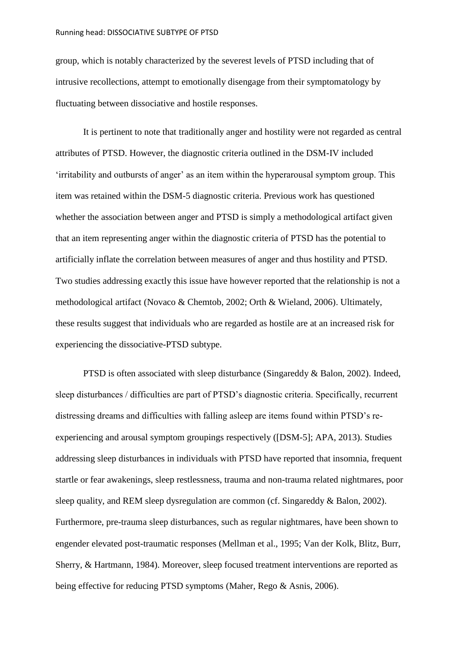#### Running head: DISSOCIATIVE SUBTYPE OF PTSD

group, which is notably characterized by the severest levels of PTSD including that of intrusive recollections, attempt to emotionally disengage from their symptomatology by fluctuating between dissociative and hostile responses.

It is pertinent to note that traditionally anger and hostility were not regarded as central attributes of PTSD. However, the diagnostic criteria outlined in the DSM-IV included 'irritability and outbursts of anger' as an item within the hyperarousal symptom group. This item was retained within the DSM-5 diagnostic criteria. Previous work has questioned whether the association between anger and PTSD is simply a methodological artifact given that an item representing anger within the diagnostic criteria of PTSD has the potential to artificially inflate the correlation between measures of anger and thus hostility and PTSD. Two studies addressing exactly this issue have however reported that the relationship is not a methodological artifact (Novaco & Chemtob, 2002; Orth & Wieland, 2006). Ultimately, these results suggest that individuals who are regarded as hostile are at an increased risk for experiencing the dissociative-PTSD subtype.

PTSD is often associated with sleep disturbance (Singareddy & Balon, 2002). Indeed, sleep disturbances / difficulties are part of PTSD's diagnostic criteria. Specifically, recurrent distressing dreams and difficulties with falling asleep are items found within PTSD's reexperiencing and arousal symptom groupings respectively ([DSM-5]; APA, 2013). Studies addressing sleep disturbances in individuals with PTSD have reported that insomnia, frequent startle or fear awakenings, sleep restlessness, trauma and non-trauma related nightmares, poor sleep quality, and REM sleep dysregulation are common (cf. Singareddy & Balon, 2002). Furthermore, pre-trauma sleep disturbances, such as regular nightmares, have been shown to engender elevated post-traumatic responses (Mellman et al., 1995; Van der Kolk, Blitz, Burr, Sherry, & Hartmann, 1984). Moreover, sleep focused treatment interventions are reported as being effective for reducing PTSD symptoms (Maher, Rego & Asnis, 2006).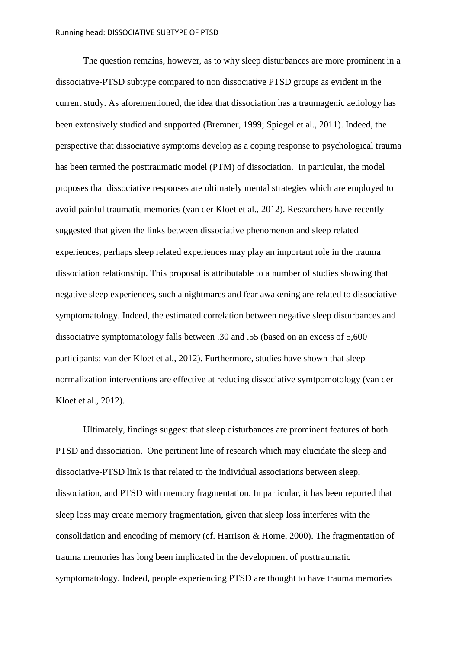The question remains, however, as to why sleep disturbances are more prominent in a dissociative-PTSD subtype compared to non dissociative PTSD groups as evident in the current study. As aforementioned, the idea that dissociation has a traumagenic aetiology has been extensively studied and supported (Bremner, 1999; Spiegel et al., 2011). Indeed, the perspective that dissociative symptoms develop as a coping response to psychological trauma has been termed the posttraumatic model (PTM) of dissociation. In particular, the model proposes that dissociative responses are ultimately mental strategies which are employed to avoid painful traumatic memories (van der Kloet et al., 2012). Researchers have recently suggested that given the links between dissociative phenomenon and sleep related experiences, perhaps sleep related experiences may play an important role in the trauma dissociation relationship. This proposal is attributable to a number of studies showing that negative sleep experiences, such a nightmares and fear awakening are related to dissociative symptomatology. Indeed, the estimated correlation between negative sleep disturbances and dissociative symptomatology falls between .30 and .55 (based on an excess of 5,600 participants; van der Kloet et al., 2012). Furthermore, studies have shown that sleep normalization interventions are effective at reducing dissociative symtpomotology (van der Kloet et al., 2012).

Ultimately, findings suggest that sleep disturbances are prominent features of both PTSD and dissociation. One pertinent line of research which may elucidate the sleep and dissociative-PTSD link is that related to the individual associations between sleep, dissociation, and PTSD with memory fragmentation. In particular, it has been reported that sleep loss may create memory fragmentation, given that sleep loss interferes with the consolidation and encoding of memory (cf. Harrison & Horne, 2000). The fragmentation of trauma memories has long been implicated in the development of posttraumatic symptomatology. Indeed, people experiencing PTSD are thought to have trauma memories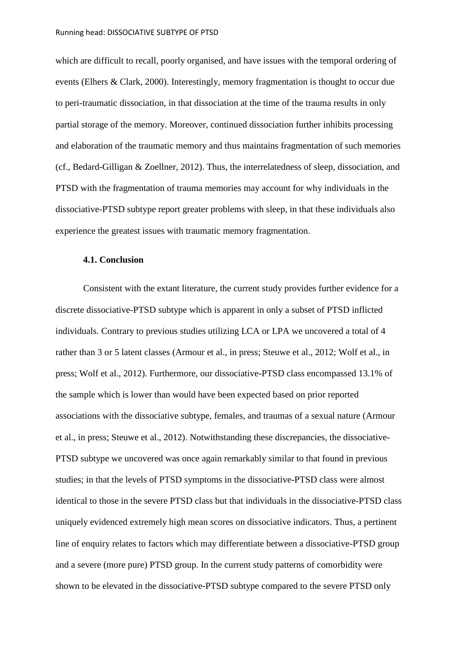which are difficult to recall, poorly organised, and have issues with the temporal ordering of events (Elhers & Clark, 2000). Interestingly, memory fragmentation is thought to occur due to peri-traumatic dissociation, in that dissociation at the time of the trauma results in only partial storage of the memory. Moreover, continued dissociation further inhibits processing and elaboration of the traumatic memory and thus maintains fragmentation of such memories (cf., Bedard-Gilligan & Zoellner, 2012). Thus, the interrelatedness of sleep, dissociation, and PTSD with the fragmentation of trauma memories may account for why individuals in the dissociative-PTSD subtype report greater problems with sleep, in that these individuals also experience the greatest issues with traumatic memory fragmentation.

#### **4.1. Conclusion**

Consistent with the extant literature, the current study provides further evidence for a discrete dissociative-PTSD subtype which is apparent in only a subset of PTSD inflicted individuals. Contrary to previous studies utilizing LCA or LPA we uncovered a total of 4 rather than 3 or 5 latent classes (Armour et al., in press; Steuwe et al., 2012; Wolf et al., in press; Wolf et al., 2012). Furthermore, our dissociative-PTSD class encompassed 13.1% of the sample which is lower than would have been expected based on prior reported associations with the dissociative subtype, females, and traumas of a sexual nature (Armour et al., in press; Steuwe et al., 2012). Notwithstanding these discrepancies, the dissociative-PTSD subtype we uncovered was once again remarkably similar to that found in previous studies; in that the levels of PTSD symptoms in the dissociative-PTSD class were almost identical to those in the severe PTSD class but that individuals in the dissociative-PTSD class uniquely evidenced extremely high mean scores on dissociative indicators. Thus, a pertinent line of enquiry relates to factors which may differentiate between a dissociative-PTSD group and a severe (more pure) PTSD group. In the current study patterns of comorbidity were shown to be elevated in the dissociative-PTSD subtype compared to the severe PTSD only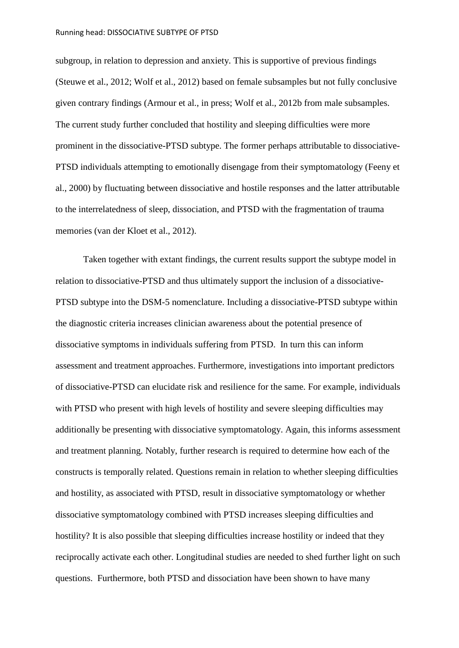subgroup, in relation to depression and anxiety. This is supportive of previous findings (Steuwe et al., 2012; Wolf et al., 2012) based on female subsamples but not fully conclusive given contrary findings (Armour et al., in press; Wolf et al., 2012b from male subsamples. The current study further concluded that hostility and sleeping difficulties were more prominent in the dissociative-PTSD subtype. The former perhaps attributable to dissociative-PTSD individuals attempting to emotionally disengage from their symptomatology (Feeny et al., 2000) by fluctuating between dissociative and hostile responses and the latter attributable to the interrelatedness of sleep, dissociation, and PTSD with the fragmentation of trauma memories (van der Kloet et al., 2012).

Taken together with extant findings, the current results support the subtype model in relation to dissociative-PTSD and thus ultimately support the inclusion of a dissociative-PTSD subtype into the DSM-5 nomenclature. Including a dissociative-PTSD subtype within the diagnostic criteria increases clinician awareness about the potential presence of dissociative symptoms in individuals suffering from PTSD. In turn this can inform assessment and treatment approaches. Furthermore, investigations into important predictors of dissociative-PTSD can elucidate risk and resilience for the same. For example, individuals with PTSD who present with high levels of hostility and severe sleeping difficulties may additionally be presenting with dissociative symptomatology. Again, this informs assessment and treatment planning. Notably, further research is required to determine how each of the constructs is temporally related. Questions remain in relation to whether sleeping difficulties and hostility, as associated with PTSD, result in dissociative symptomatology or whether dissociative symptomatology combined with PTSD increases sleeping difficulties and hostility? It is also possible that sleeping difficulties increase hostility or indeed that they reciprocally activate each other. Longitudinal studies are needed to shed further light on such questions. Furthermore, both PTSD and dissociation have been shown to have many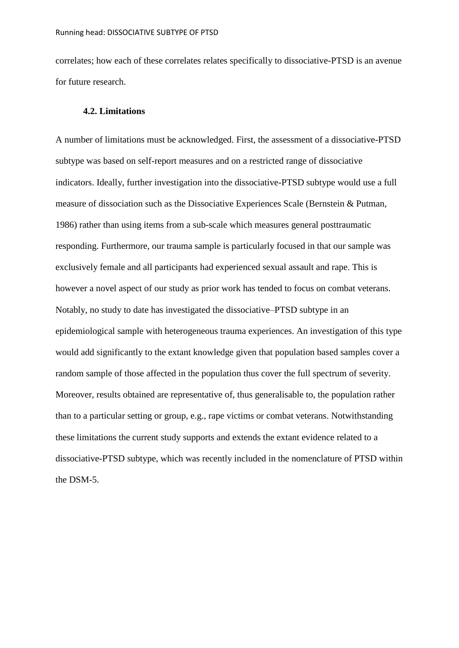correlates; how each of these correlates relates specifically to dissociative-PTSD is an avenue for future research.

#### **4.2. Limitations**

A number of limitations must be acknowledged. First, the assessment of a dissociative-PTSD subtype was based on self-report measures and on a restricted range of dissociative indicators. Ideally, further investigation into the dissociative-PTSD subtype would use a full measure of dissociation such as the Dissociative Experiences Scale (Bernstein & Putman, 1986) rather than using items from a sub-scale which measures general posttraumatic responding. Furthermore, our trauma sample is particularly focused in that our sample was exclusively female and all participants had experienced sexual assault and rape. This is however a novel aspect of our study as prior work has tended to focus on combat veterans. Notably, no study to date has investigated the dissociative–PTSD subtype in an epidemiological sample with heterogeneous trauma experiences. An investigation of this type would add significantly to the extant knowledge given that population based samples cover a random sample of those affected in the population thus cover the full spectrum of severity. Moreover, results obtained are representative of, thus generalisable to, the population rather than to a particular setting or group, e.g., rape victims or combat veterans. Notwithstanding these limitations the current study supports and extends the extant evidence related to a dissociative-PTSD subtype, which was recently included in the nomenclature of PTSD within the DSM-5.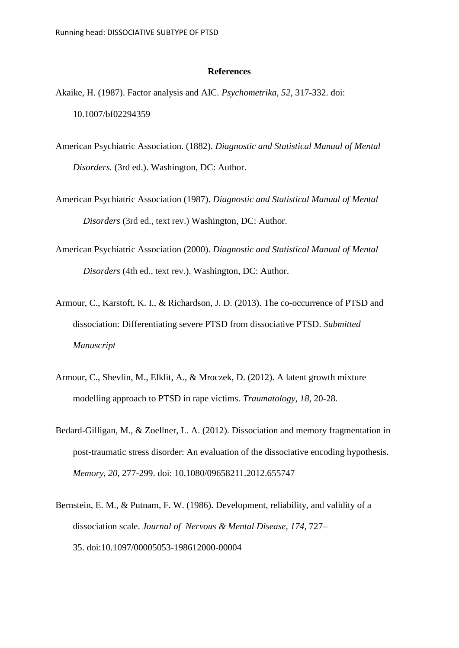#### **References**

- Akaike, H. (1987). Factor analysis and AIC. *Psychometrika, 52*, 317-332. doi: 10.1007/bf02294359
- American Psychiatric Association. (1882). *Diagnostic and Statistical Manual of Mental Disorders.* (3rd ed.). Washington, DC: Author.
- American Psychiatric Association (1987). *Diagnostic and Statistical Manual of Mental Disorders* (3rd ed., text rev.) Washington, DC: Author.
- American Psychiatric Association (2000). *Diagnostic and Statistical Manual of Mental Disorders* (4th ed., text rev.). Washington, DC: Author.
- Armour, C., Karstoft, K. I., & Richardson, J. D. (2013). The co-occurrence of PTSD and dissociation: Differentiating severe PTSD from dissociative PTSD. *Submitted Manuscript*
- Armour, C., Shevlin, M., Elklit, A., & Mroczek, D. (2012). A latent growth mixture modelling approach to PTSD in rape victims. *Traumatology, 18*, 20-28.
- Bedard-Gilligan, M., & Zoellner, L. A. (2012). Dissociation and memory fragmentation in post-traumatic stress disorder: An evaluation of the dissociative encoding hypothesis. *Memory, 20*, 277-299. doi: 10.1080/09658211.2012.655747
- Bernstein, E. M., & Putnam, F. W. (1986). Development, reliability, and validity of a dissociation scale. *Journal of Nervous & Mental Disease, 174*, 727– 35. doi:10.1097/00005053-198612000-00004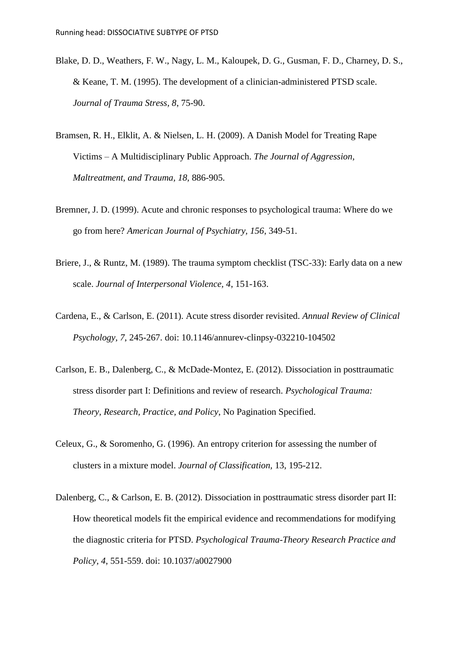- Blake, D. D., Weathers, F. W., Nagy, L. M., Kaloupek, D. G., Gusman, F. D., Charney, D. S., & Keane, T. M. (1995). The development of a clinician-administered PTSD scale. *Journal of Trauma Stress, 8*, 75-90.
- Bramsen, R. H., Elklit, A. & Nielsen, L. H. (2009). A Danish Model for Treating Rape Victims – A Multidisciplinary Public Approach. *The Journal of Aggression, Maltreatment, and Trauma, 18,* 886-905.
- Bremner, J. D. (1999). Acute and chronic responses to psychological trauma: Where do we go from here? *American Journal of Psychiatry, 156*, 349-51.
- Briere, J., & Runtz, M. (1989). The trauma symptom checklist (TSC-33): Early data on a new scale. *Journal of Interpersonal Violence, 4*, 151-163.
- Cardena, E., & Carlson, E. (2011). Acute stress disorder revisited. *Annual Review of Clinical Psychology, 7*, 245-267. doi: 10.1146/annurev-clinpsy-032210-104502
- Carlson, E. B., Dalenberg, C., & McDade-Montez, E. (2012). Dissociation in posttraumatic stress disorder part I: Definitions and review of research. *Psychological Trauma: Theory, Research, Practice, and Policy*, No Pagination Specified.
- Celeux, G., & Soromenho, G. (1996). An entropy criterion for assessing the number of clusters in a mixture model. *Journal of Classification,* 13, 195-212.
- Dalenberg, C., & Carlson, E. B. (2012). Dissociation in posttraumatic stress disorder part II: How theoretical models fit the empirical evidence and recommendations for modifying the diagnostic criteria for PTSD. *Psychological Trauma-Theory Research Practice and Policy, 4*, 551-559. doi: 10.1037/a0027900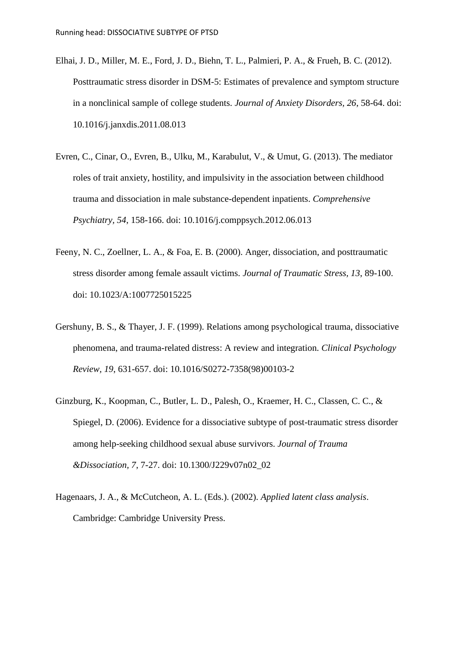- Elhai, J. D., Miller, M. E., Ford, J. D., Biehn, T. L., Palmieri, P. A., & Frueh, B. C. (2012). Posttraumatic stress disorder in DSM-5: Estimates of prevalence and symptom structure in a nonclinical sample of college students. *Journal of Anxiety Disorders, 26*, 58-64. doi: 10.1016/j.janxdis.2011.08.013
- Evren, C., Cinar, O., Evren, B., Ulku, M., Karabulut, V., & Umut, G. (2013). The mediator roles of trait anxiety, hostility, and impulsivity in the association between childhood trauma and dissociation in male substance-dependent inpatients. *Comprehensive Psychiatry, 54*, 158-166. doi: 10.1016/j.comppsych.2012.06.013
- Feeny, N. C., Zoellner, L. A., & Foa, E. B. (2000). Anger, dissociation, and posttraumatic stress disorder among female assault victims. *Journal of Traumatic Stress, 13*, 89-100. doi: 10.1023/A:1007725015225
- Gershuny, B. S., & Thayer, J. F. (1999). Relations among psychological trauma, dissociative phenomena, and trauma-related distress: A review and integration. *Clinical Psychology Review, 19*, 631-657. doi: 10.1016/S0272-7358(98)00103-2
- Ginzburg, K., Koopman, C., Butler, L. D., Palesh, O., Kraemer, H. C., Classen, C. C., & Spiegel, D. (2006). Evidence for a dissociative subtype of post-traumatic stress disorder among help-seeking childhood sexual abuse survivors. *Journal of Trauma &Dissociation, 7*, 7-27. doi: 10.1300/J229v07n02\_02
- Hagenaars, J. A., & McCutcheon, A. L. (Eds.). (2002). *Applied latent class analysis*. Cambridge: Cambridge University Press.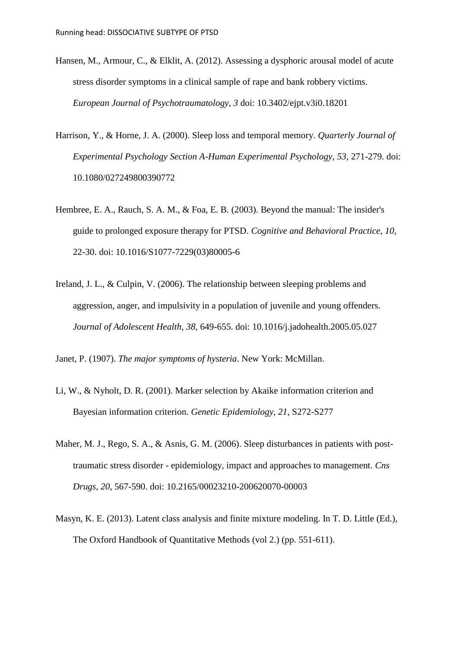- Hansen, M., Armour, C., & Elklit, A. (2012). Assessing a dysphoric arousal model of acute stress disorder symptoms in a clinical sample of rape and bank robbery victims. *European Journal of Psychotraumatology, 3* doi: 10.3402/ejpt.v3i0.18201
- Harrison, Y., & Horne, J. A. (2000). Sleep loss and temporal memory. *Quarterly Journal of Experimental Psychology Section A-Human Experimental Psychology, 53*, 271-279. doi: 10.1080/027249800390772
- Hembree, E. A., Rauch, S. A. M., & Foa, E. B. (2003). Beyond the manual: The insider's guide to prolonged exposure therapy for PTSD. *Cognitive and Behavioral Practice, 10*, 22-30. doi: 10.1016/S1077-7229(03)80005-6
- Ireland, J. L., & Culpin, V. (2006). The relationship between sleeping problems and aggression, anger, and impulsivity in a population of juvenile and young offenders. *Journal of Adolescent Health, 38*, 649-655. doi: 10.1016/j.jadohealth.2005.05.027

Janet, P. (1907). *The major symptoms of hysteria*. New York: McMillan.

- Li, W., & Nyholt, D. R. (2001). Marker selection by Akaike information criterion and Bayesian information criterion. *Genetic Epidemiology, 21*, S272-S277
- Maher, M. J., Rego, S. A., & Asnis, G. M. (2006). Sleep disturbances in patients with posttraumatic stress disorder - epidemiology, impact and approaches to management. *Cns Drugs, 20*, 567-590. doi: 10.2165/00023210-200620070-00003
- Masyn, K. E. (2013). Latent class analysis and finite mixture modeling. In T. D. Little (Ed.), The Oxford Handbook of Quantitative Methods (vol 2.) (pp. 551-611).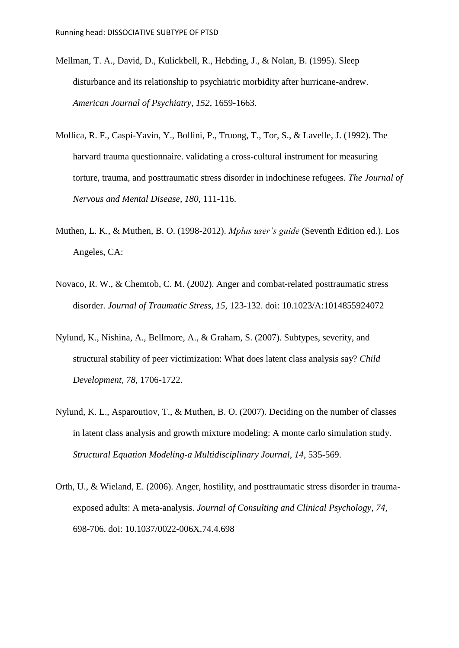- Mellman, T. A., David, D., Kulickbell, R., Hebding, J., & Nolan, B. (1995). Sleep disturbance and its relationship to psychiatric morbidity after hurricane-andrew. *American Journal of Psychiatry, 152*, 1659-1663.
- Mollica, R. F., Caspi-Yavin, Y., Bollini, P., Truong, T., Tor, S., & Lavelle, J. (1992). The harvard trauma questionnaire. validating a cross-cultural instrument for measuring torture, trauma, and posttraumatic stress disorder in indochinese refugees. *The Journal of Nervous and Mental Disease, 180*, 111-116.
- Muthen, L. K., & Muthen, B. O. (1998-2012). *Mplus user's guide* (Seventh Edition ed.). Los Angeles, CA:
- Novaco, R. W., & Chemtob, C. M. (2002). Anger and combat-related posttraumatic stress disorder. *Journal of Traumatic Stress, 15*, 123-132. doi: 10.1023/A:1014855924072
- Nylund, K., Nishina, A., Bellmore, A., & Graham, S. (2007). Subtypes, severity, and structural stability of peer victimization: What does latent class analysis say? *Child Development, 78*, 1706-1722.
- Nylund, K. L., Asparoutiov, T., & Muthen, B. O. (2007). Deciding on the number of classes in latent class analysis and growth mixture modeling: A monte carlo simulation study. *Structural Equation Modeling-a Multidisciplinary Journal, 14*, 535-569.
- Orth, U., & Wieland, E. (2006). Anger, hostility, and posttraumatic stress disorder in traumaexposed adults: A meta-analysis. *Journal of Consulting and Clinical Psychology, 74*, 698-706. doi: 10.1037/0022-006X.74.4.698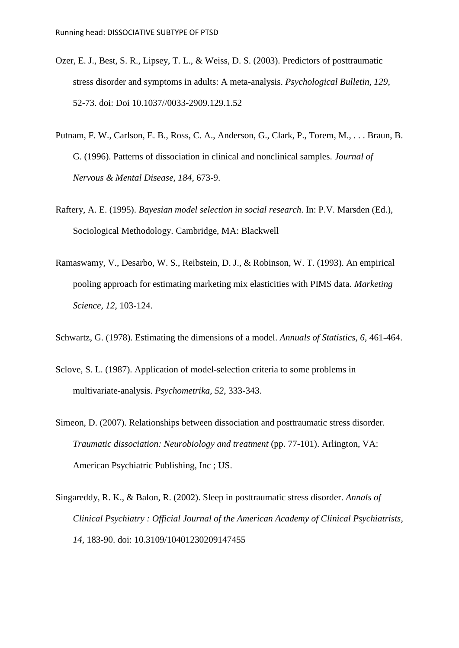- Ozer, E. J., Best, S. R., Lipsey, T. L., & Weiss, D. S. (2003). Predictors of posttraumatic stress disorder and symptoms in adults: A meta-analysis. *Psychological Bulletin, 129*, 52-73. doi: Doi 10.1037//0033-2909.129.1.52
- Putnam, F. W., Carlson, E. B., Ross, C. A., Anderson, G., Clark, P., Torem, M., . . . Braun, B. G. (1996). Patterns of dissociation in clinical and nonclinical samples. *Journal of Nervous & Mental Disease, 184*, 673-9.
- Raftery, A. E. (1995). *Bayesian model selection in social research*. In: P.V. Marsden (Ed.), Sociological Methodology. Cambridge, MA: Blackwell
- Ramaswamy, V., Desarbo, W. S., Reibstein, D. J., & Robinson, W. T. (1993). An empirical pooling approach for estimating marketing mix elasticities with PIMS data. *Marketing Science, 12*, 103-124.
- Schwartz, G. (1978). Estimating the dimensions of a model. *Annuals of Statistics, 6*, 461-464.
- Sclove, S. L. (1987). Application of model-selection criteria to some problems in multivariate-analysis. *Psychometrika, 52*, 333-343.
- Simeon, D. (2007). Relationships between dissociation and posttraumatic stress disorder. *Traumatic dissociation: Neurobiology and treatment* (pp. 77-101). Arlington, VA: American Psychiatric Publishing, Inc ; US.
- Singareddy, R. K., & Balon, R. (2002). Sleep in posttraumatic stress disorder. *Annals of Clinical Psychiatry : Official Journal of the American Academy of Clinical Psychiatrists, 14*, 183-90. doi: 10.3109/10401230209147455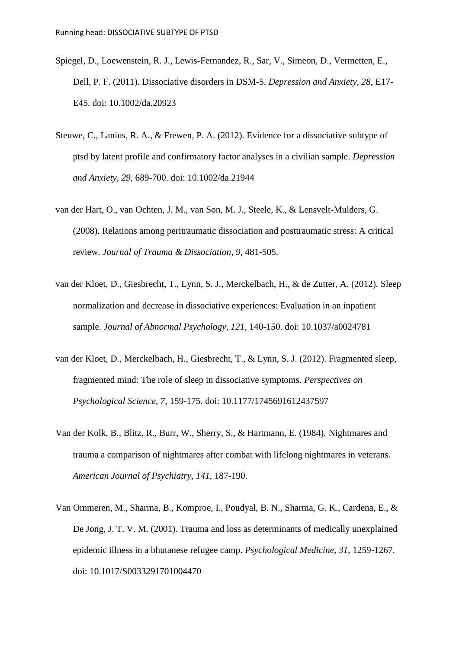- Spiegel, D., Loewenstein, R. J., Lewis-Fernandez, R., Sar, V., Simeon, D., Vermetten, E., Dell, P. F. (2011). Dissociative disorders in DSM-5. *Depression and Anxiety, 28*, E17- E45. doi: 10.1002/da.20923
- Steuwe, C., Lanius, R. A., & Frewen, P. A. (2012). Evidence for a dissociative subtype of ptsd by latent profile and confirmatory factor analyses in a civilian sample. *Depression and Anxiety, 29*, 689-700. doi: 10.1002/da.21944
- van der Hart, O., van Ochten, J. M., van Son, M. J., Steele, K., & Lensvelt-Mulders, G. (2008). Relations among peritraumatic dissociation and posttraumatic stress: A critical review. *Journal of Trauma & Dissociation, 9*, 481-505.
- van der Kloet, D., Giesbrecht, T., Lynn, S. J., Merckelbach, H., & de Zutter, A. (2012). Sleep normalization and decrease in dissociative experiences: Evaluation in an inpatient sample. *Journal of Abnormal Psychology, 121*, 140-150. doi: 10.1037/a0024781
- van der Kloet, D., Merckelbach, H., Giesbrecht, T., & Lynn, S. J. (2012). Fragmented sleep, fragmented mind: The role of sleep in dissociative symptoms. *Perspectives on Psychological Science, 7*, 159-175. doi: 10.1177/1745691612437597
- Van der Kolk, B., Blitz, R., Burr, W., Sherry, S., & Hartmann, E. (1984). Nightmares and trauma a comparison of nightmares after combat with lifelong nightmares in veterans. *American Journal of Psychiatry, 141*, 187-190.
- Van Ommeren, M., Sharma, B., Komproe, I., Poudyal, B. N., Sharma, G. K., Cardena, E., & De Jong, J. T. V. M. (2001). Trauma and loss as determinants of medically unexplained epidemic illness in a bhutanese refugee camp. *Psychological Medicine, 31*, 1259-1267. doi: 10.1017/S0033291701004470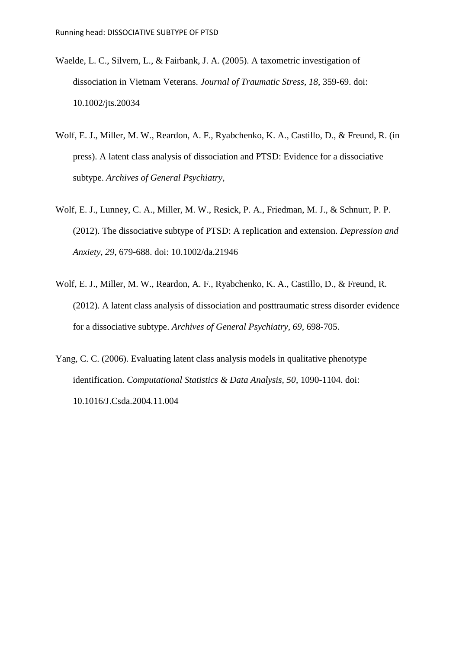- Waelde, L. C., Silvern, L., & Fairbank, J. A. (2005). A taxometric investigation of dissociation in Vietnam Veterans. *Journal of Traumatic Stress, 18*, 359-69. doi: 10.1002/jts.20034
- Wolf, E. J., Miller, M. W., Reardon, A. F., Ryabchenko, K. A., Castillo, D., & Freund, R. (in press). A latent class analysis of dissociation and PTSD: Evidence for a dissociative subtype. *Archives of General Psychiatry,*
- Wolf, E. J., Lunney, C. A., Miller, M. W., Resick, P. A., Friedman, M. J., & Schnurr, P. P. (2012). The dissociative subtype of PTSD: A replication and extension. *Depression and Anxiety, 29*, 679-688. doi: 10.1002/da.21946
- Wolf, E. J., Miller, M. W., Reardon, A. F., Ryabchenko, K. A., Castillo, D., & Freund, R. (2012). A latent class analysis of dissociation and posttraumatic stress disorder evidence for a dissociative subtype. *Archives of General Psychiatry, 69*, 698-705.
- Yang, C. C. (2006). Evaluating latent class analysis models in qualitative phenotype identification. *Computational Statistics & Data Analysis, 50*, 1090-1104. doi: 10.1016/J.Csda.2004.11.004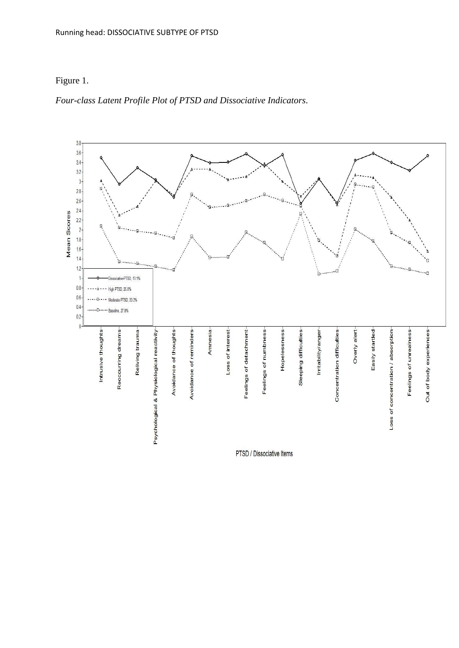## Figure 1.

*Four-class Latent Profile Plot of PTSD and Dissociative Indicators*.



PTSD / Dissociative Items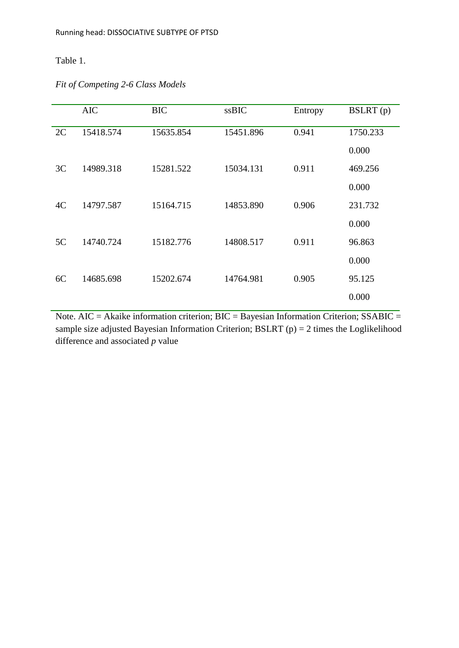### Table 1.

|    | <b>AIC</b> | <b>BIC</b> | ssBIC     | Entropy | BSLRT(p) |
|----|------------|------------|-----------|---------|----------|
| 2C | 15418.574  | 15635.854  | 15451.896 | 0.941   | 1750.233 |
|    |            |            |           |         | 0.000    |
| 3C | 14989.318  | 15281.522  | 15034.131 | 0.911   | 469.256  |
|    |            |            |           |         | 0.000    |
| 4C | 14797.587  | 15164.715  | 14853.890 | 0.906   | 231.732  |
|    |            |            |           |         | 0.000    |
| 5C | 14740.724  | 15182.776  | 14808.517 | 0.911   | 96.863   |
|    |            |            |           |         | 0.000    |
| 6C | 14685.698  | 15202.674  | 14764.981 | 0.905   | 95.125   |
|    |            |            |           |         | 0.000    |

## *Fit of Competing 2-6 Class Models*

Note. AIC = Akaike information criterion; BIC = Bayesian Information Criterion; SSABIC = sample size adjusted Bayesian Information Criterion; BSLRT  $(p) = 2$  times the Loglikelihood difference and associated *p* value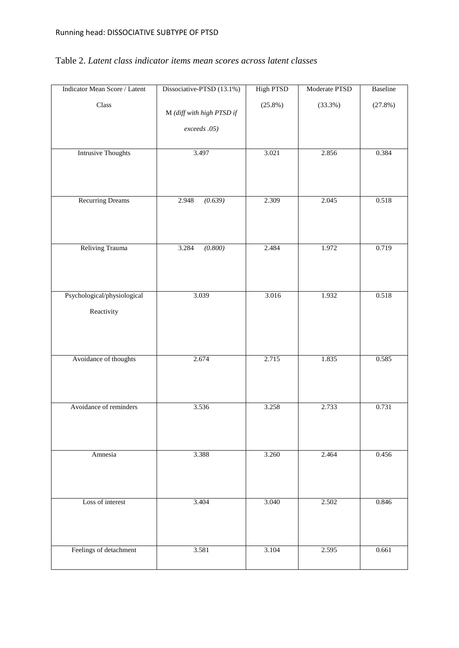| Indicator Mean Score / Latent | Dissociative-PTSD (13.1%) | <b>High PTSD</b> | Moderate PTSD | Baseline |
|-------------------------------|---------------------------|------------------|---------------|----------|
| Class                         |                           | $(25.8\%)$       | (33.3%)       | (27.8%)  |
|                               | M (diff with high PTSD if |                  |               |          |
|                               | exceeds .05)              |                  |               |          |
|                               |                           |                  |               |          |
| <b>Intrusive Thoughts</b>     | 3.497                     | 3.021            | 2.856         | 0.384    |
|                               |                           |                  |               |          |
|                               |                           |                  |               |          |
| <b>Recurring Dreams</b>       | (0.639)<br>2.948          | 2.309            | 2.045         | 0.518    |
|                               |                           |                  |               |          |
|                               |                           |                  |               |          |
|                               |                           |                  |               |          |
| Reliving Trauma               | (0.800)<br>3.284          | 2.484            | 1.972         | 0.719    |
|                               |                           |                  |               |          |
|                               |                           |                  |               |          |
|                               |                           |                  |               |          |
| Psychological/physiological   | 3.039                     | 3.016            | 1.932         | 0.518    |
| Reactivity                    |                           |                  |               |          |
|                               |                           |                  |               |          |
|                               |                           |                  |               |          |
| Avoidance of thoughts         | 2.674                     | 2.715            | 1.835         | 0.585    |
|                               |                           |                  |               |          |
|                               |                           |                  |               |          |
|                               |                           |                  |               |          |
| Avoidance of reminders        | 3.536                     | 3.258            | 2.733         | 0.731    |
|                               |                           |                  |               |          |
|                               |                           |                  |               |          |
|                               |                           |                  |               |          |
| Amnesia                       | 3.388                     | 3.260            | 2.464         | 0.456    |
|                               |                           |                  |               |          |
|                               |                           |                  |               |          |
| Loss of interest              | 3.404                     | 3.040            | 2.502         | 0.846    |
|                               |                           |                  |               |          |
|                               |                           |                  |               |          |
|                               |                           |                  |               |          |
| Feelings of detachment        | 3.581                     | 3.104            | 2.595         | 0.661    |
|                               |                           |                  |               |          |

## Table 2. *Latent class indicator items mean scores across latent classes*